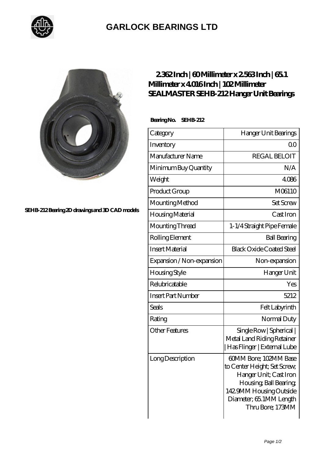

## **[GARLOCK BEARINGS LTD](https://m.letterstopriests.com)**



**[SEHB-212 Bearing 2D drawings and 3D CAD models](https://m.letterstopriests.com/pic-188958.html)**

## **[2.362 Inch | 60 Millimeter x 2.563 Inch | 65.1](https://m.letterstopriests.com/bj-188958-sealmaster-sehb-212-hanger-unit-bearings.html) [Millimeter x 4.016 Inch | 102 Millimeter](https://m.letterstopriests.com/bj-188958-sealmaster-sehb-212-hanger-unit-bearings.html) [SEALMASTER SEHB-212 Hanger Unit Bearings](https://m.letterstopriests.com/bj-188958-sealmaster-sehb-212-hanger-unit-bearings.html)**

 **Bearing No. SEHB-212**

| Category                  | Hanger Unit Bearings                                                                                                                                                                |
|---------------------------|-------------------------------------------------------------------------------------------------------------------------------------------------------------------------------------|
| Inventory                 | Q0                                                                                                                                                                                  |
| Manufacturer Name         | <b>REGAL BELOIT</b>                                                                                                                                                                 |
| Minimum Buy Quantity      | N/A                                                                                                                                                                                 |
| Weight                    | 4086                                                                                                                                                                                |
| Product Group             | M06110                                                                                                                                                                              |
| Mounting Method           | <b>Set Screw</b>                                                                                                                                                                    |
| Housing Material          | Cast Iron                                                                                                                                                                           |
| Mounting Thread           | 1-1/4 Straight Pipe Female                                                                                                                                                          |
| Rolling Element           | <b>Ball Bearing</b>                                                                                                                                                                 |
| <b>Insert Material</b>    | <b>Black Oxide Coated Steel</b>                                                                                                                                                     |
| Expansion / Non-expansion | Non-expansion                                                                                                                                                                       |
| Housing Style             | Hanger Unit                                                                                                                                                                         |
| Relubricatable            | Yes                                                                                                                                                                                 |
| <b>Insert Part Number</b> | 5212                                                                                                                                                                                |
| Seals                     | Felt Labyrinth                                                                                                                                                                      |
| Rating                    | Normal Duty                                                                                                                                                                         |
| <b>Other Features</b>     | Single Row   Spherical  <br>Metal Land Riding Retainer<br> Has Flinger   External Lube                                                                                              |
| Long Description          | 60MM Bore; 102MM Base<br>to Center Height; Set Screw,<br>Hanger Unit; Cast Iron<br>Housing, Ball Bearing,<br>142 9MM Housing Outside<br>Diameter; 65 1MM Length<br>Thru Bore; 173MM |